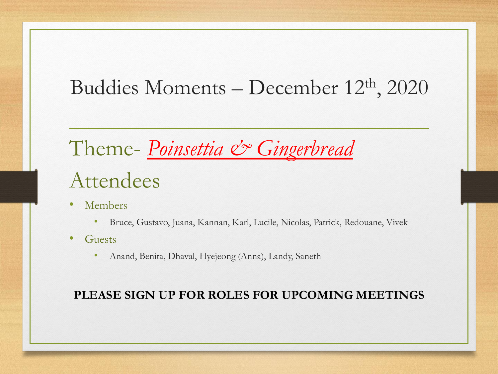#### Buddies Moments – December 12th , 2020

#### Theme- *Poinsettia* & Gingerbread Attendees

- Members
	- Bruce, Gustavo, Juana, Kannan, Karl, Lucile, Nicolas, Patrick, Redouane, Vivek
- **Guests** 
	- Anand, Benita, Dhaval, Hyejeong (Anna), Landy, Saneth

#### **PLEASE SIGN UP FOR ROLES FOR UPCOMING MEETINGS**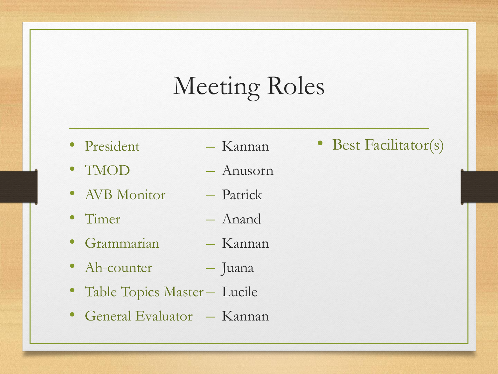### Meeting Roles

– Kannan

- **President**
- TMOD – Anusorn
- AVB Monitor – Patrick
- Timer – Anand
- Grammarian – Kannan
- Ah-counter – Juana
- Table Topics Master Lucile
- General Evaluator Kannan

• Best Facilitator(s)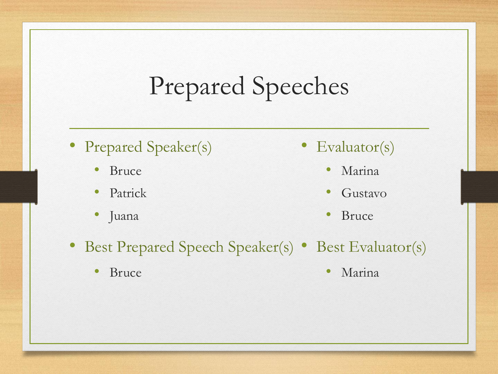## Prepared Speeches

- Prepared Speaker(s)
	- Bruce
	- Patrick
	- Juana
- Evaluator(s)
	- Marina
	- Gustavo
	- Bruce
- Best Prepared Speech Speaker(s) Best Evaluator(s)
	- Bruce

• Marina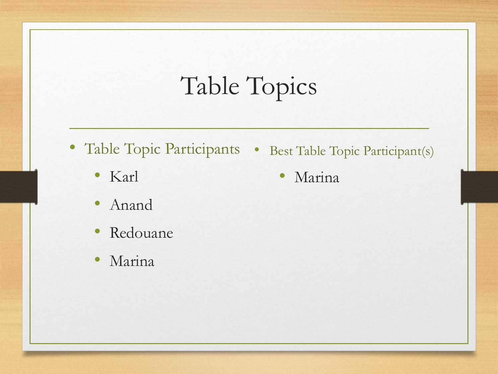## Table Topics

- Table Topic Participants Best Table Topic Participant(s)
	- Karl
	- Anand
	- Redouane
	- Marina

• Marina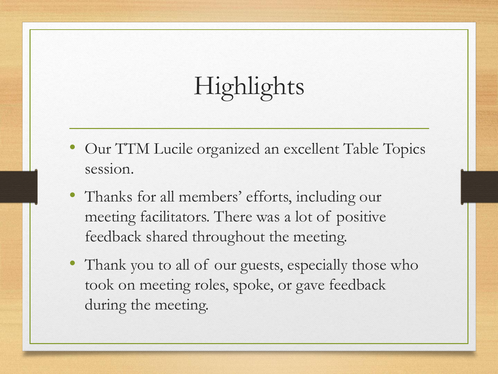# Highlights

- Our TTM Lucile organized an excellent Table Topics session.
- Thanks for all members' efforts, including our meeting facilitators. There was a lot of positive feedback shared throughout the meeting.
- Thank you to all of our guests, especially those who took on meeting roles, spoke, or gave feedback during the meeting.